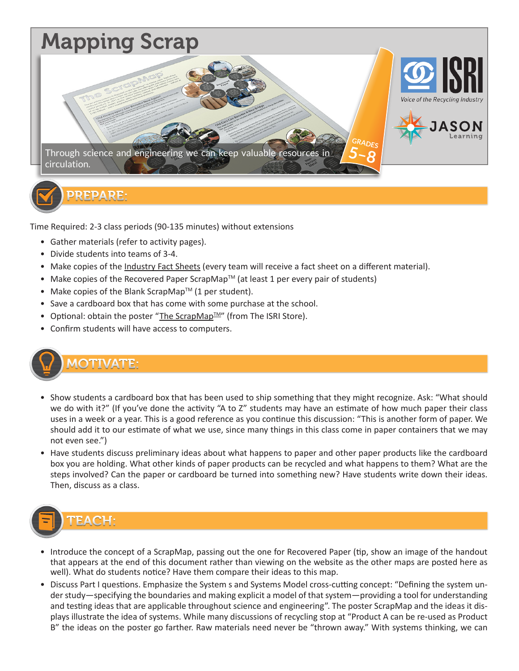

Time Required: 2-3 class periods (90-135 minutes) without extensions

- Gather materials (refer to activity pages).
- Divide students into teams of 3-4.
- Make copies of the Industry Fact Sheets (every team will receive a fact sheet on a different material).
- Make copies of the Recovered Paper ScrapMap $^{TM}$  (at least 1 per every pair of students)
- Make copies of the Blank ScrapMap<sup>TM</sup> (1 per student).
- Save a cardboard box that has come with some purchase at the school.
- Optional: obtain the poster "The ScrapMap<sup>TM"</sup> (from The ISRI Store).
- Confirm students will have access to computers.



#### **MOTIVATE:**

- Show students a cardboard box that has been used to ship something that they might recognize. Ask: "What should we do with it?" (If you've done the activity "A to Z" students may have an estimate of how much paper their class uses in a week or a year. This is a good reference as you continue this discussion: "This is another form of paper. We should add it to our estimate of what we use, since many things in this class come in paper containers that we may not even see.")
- Have students discuss preliminary ideas about what happens to paper and other paper products like the cardboard box you are holding. What other kinds of paper products can be recycled and what happens to them? What are the steps involved? Can the paper or cardboard be turned into something new? Have students write down their ideas. Then, discuss as a class.



- Introduce the concept of a ScrapMap, passing out the one for Recovered Paper (tip, show an image of the handout that appears at the end of this document rather than viewing on the website as the other maps are posted here as well). What do students notice? Have them compare their ideas to this map.
- Discuss Part I questions. Emphasize the System s and Systems Model cross-cutting concept: "Defining the system under study—specifying the boundaries and making explicit a model of that system—providing a tool for understanding and testing ideas that are applicable throughout science and engineering". The poster ScrapMap and the ideas it displays illustrate the idea of systems. While many discussions of recycling stop at "Product A can be re-used as Product B" the ideas on the poster go farther. Raw materials need never be "thrown away." With systems thinking, we can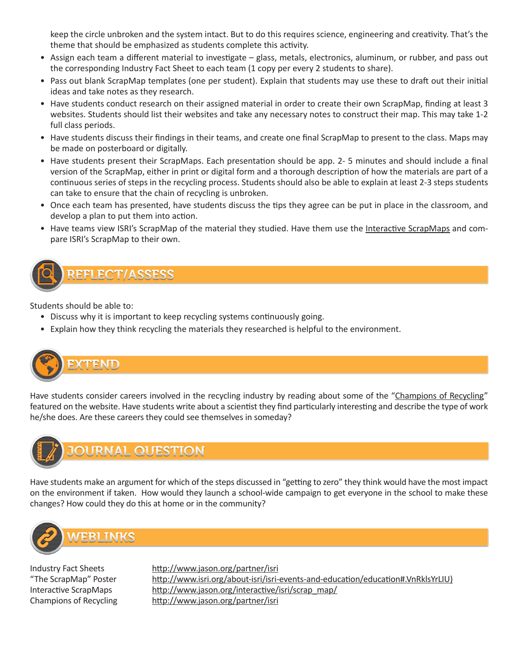keep the circle unbroken and the system intact. But to do this requires science, engineering and creativity. That's the theme that should be emphasized as students complete this activity.

- Assign each team a different material to investigate glass, metals, electronics, aluminum, or rubber, and pass out the corresponding Industry Fact Sheet to each team (1 copy per every 2 students to share).
- Pass out blank ScrapMap templates (one per student). Explain that students may use these to draft out their initial ideas and take notes as they research.
- Have students conduct research on their assigned material in order to create their own ScrapMap, finding at least 3 websites. Students should list their websites and take any necessary notes to construct their map. This may take 1-2 full class periods.
- Have students discuss their findings in their teams, and create one final ScrapMap to present to the class. Maps may be made on posterboard or digitally.
- Have students present their ScrapMaps. Each presentation should be app. 2- 5 minutes and should include a final version of the ScrapMap, either in print or digital form and a thorough description of how the materials are part of a continuous series of steps in the recycling process. Students should also be able to explain at least 2-3 steps students can take to ensure that the chain of recycling is unbroken.
- Once each team has presented, have students discuss the tips they agree can be put in place in the classroom, and develop a plan to put them into action.
- Have teams view ISRI's ScrapMap of the material they studied. Have them use the Interactive ScrapMaps and compare ISRI's ScrapMap to their own.



Students should be able to:

EFLECT/ASSESS

- Discuss why it is important to keep recycling systems continuously going.
- Explain how they think recycling the materials they researched is helpful to the environment.



Have students consider careers involved in the recycling industry by reading about some of the "Champions of Recycling" featured on the website. Have students write about a scientist they find particularly interesting and describe the type of work he/she does. Are these careers they could see themselves in someday?



Have students make an argument for which of the steps discussed in "getting to zero" they think would have the most impact on the environment if taken. How would they launch a school-wide campaign to get everyone in the school to make these changes? How could they do this at home or in the community?



**MEBLINKS** 

Industry Fact Sheets http://www.jason.org/partner/isri "The ScrapMap" Poster http://www.isri.org/about-isri/isri-events-and-education/education#.VnRklsYrLIU) Interactive ScrapMaps http://www.jason.org/interactive/isri/scrap\_map/ Champions of Recycling http://www.jason.org/partner/isri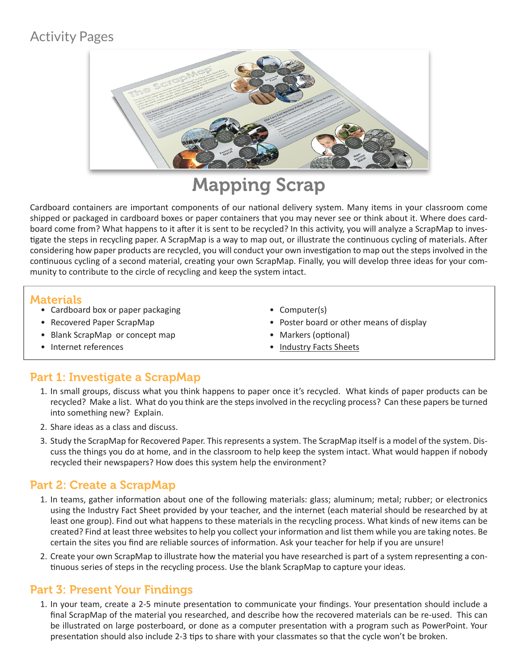# Activity Pages



# Mapping Scrap

Cardboard containers are important components of our national delivery system. Many items in your classroom come shipped or packaged in cardboard boxes or paper containers that you may never see or think about it. Where does cardboard come from? What happens to it after it is sent to be recycled? In this activity, you will analyze a ScrapMap to investigate the steps in recycling paper. A ScrapMap is a way to map out, or illustrate the continuous cycling of materials. After considering how paper products are recycled, you will conduct your own investigation to map out the steps involved in the continuous cycling of a second material, creating your own ScrapMap. Finally, you will develop three ideas for your community to contribute to the circle of recycling and keep the system intact.

#### **Materials**

- Cardboard box or paper packaging
- Recovered Paper ScrapMap
- Blank ScrapMap or concept map
- Computer(s)
- Poster board or other means of display
- Markers (optional)
- Industry Facts Sheets

• Internet references

## Part 1: Investigate a ScrapMap

- 1. In small groups, discuss what you think happens to paper once it's recycled. What kinds of paper products can be recycled? Make a list. What do you think are the steps involved in the recycling process? Can these papers be turned into something new? Explain.
- 2. Share ideas as a class and discuss.
- 3. Study the ScrapMap for Recovered Paper. This represents a system. The ScrapMap itself is a model of the system. Discuss the things you do at home, and in the classroom to help keep the system intact. What would happen if nobody recycled their newspapers? How does this system help the environment?

## Part 2: Create a ScrapMap

- 1. In teams, gather information about one of the following materials: glass; aluminum; metal; rubber; or electronics using the Industry Fact Sheet provided by your teacher, and the internet (each material should be researched by at least one group). Find out what happens to these materials in the recycling process. What kinds of new items can be created? Find at least three websites to help you collect your information and list them while you are taking notes. Be certain the sites you find are reliable sources of information. Ask your teacher for help if you are unsure!
- 2. Create your own ScrapMap to illustrate how the material you have researched is part of a system representing a continuous series of steps in the recycling process. Use the blank ScrapMap to capture your ideas.

## Part 3: Present Your Findings

1. In your team, create a 2-5 minute presentation to communicate your findings. Your presentation should include a final ScrapMap of the material you researched, and describe how the recovered materials can be re-used. This can be illustrated on large posterboard, or done as a computer presentation with a program such as PowerPoint. Your presentation should also include 2-3 tips to share with your classmates so that the cycle won't be broken.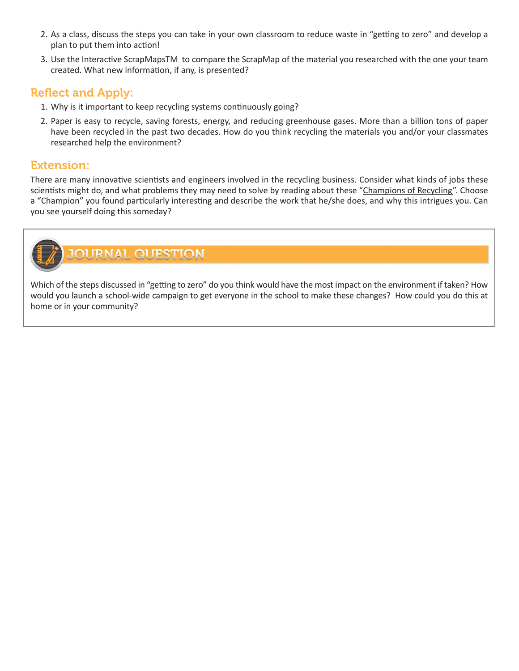- 2. As a class, discuss the steps you can take in your own classroom to reduce waste in "getting to zero" and develop a plan to put them into action!
- 3. Use the Interactive ScrapMapsTM to compare the ScrapMap of the material you researched with the one your team created. What new information, if any, is presented?

#### Reflect and Apply:

- 1. Why is it important to keep recycling systems continuously going?
- 2. Paper is easy to recycle, saving forests, energy, and reducing greenhouse gases. More than a billion tons of paper have been recycled in the past two decades. How do you think recycling the materials you and/or your classmates researched help the environment?

#### Extension:

There are many innovative scientists and engineers involved in the recycling business. Consider what kinds of jobs these scientists might do, and what problems they may need to solve by reading about these "Champions of Recycling". Choose a "Champion" you found particularly interesting and describe the work that he/she does, and why this intrigues you. Can you see yourself doing this someday?



# **OURNAL QUESTION**

Which of the steps discussed in "getting to zero" do you think would have the most impact on the environment if taken? How would you launch a school-wide campaign to get everyone in the school to make these changes? How could you do this at home or in your community?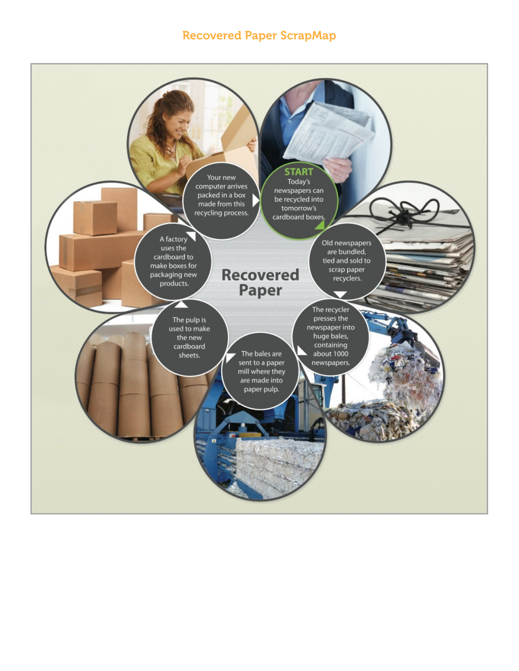#### Recovered Paper ScrapMap